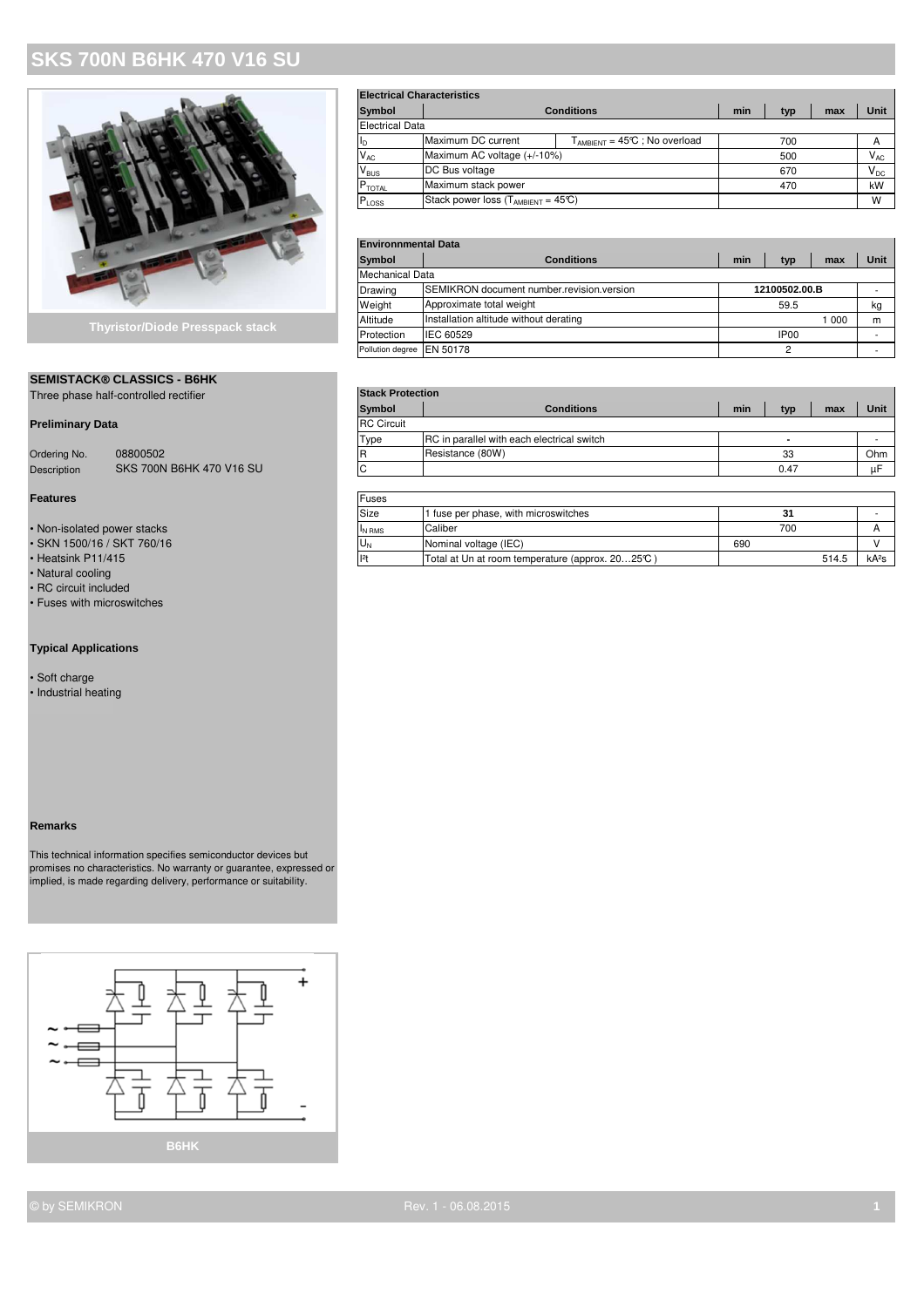## **SKS 700N B6HK 470 V16 SU**



### **SEMISTACK® CLASSICS - B6HK**

Three phase half-controlled rectifier **Stack Protection** 

### **Preliminary Data**

| Ordering No. | 08800502                        |
|--------------|---------------------------------|
| Description  | <b>SKS 700N B6HK 470 V16 SU</b> |

#### **Features**

- $\bullet$  Non-isolated power stacks
- SKN 1500/16 / SKT 760/16<br>• Heatsink P11/415
- 
- Natural cooling
- RC circuit included
- Fuses with microswitches

#### **Typical Applications**

- Soft charge
- Industrial heating

#### **Remarks**

This technical information specifies semiconductor devices but promises no characteristics. No warranty or guarantee, expressed or implied, is made regarding delivery, performance or suitability.



| <b>Electrical Characteristics</b> |                                                |                                    |  |     |     |                            |  |
|-----------------------------------|------------------------------------------------|------------------------------------|--|-----|-----|----------------------------|--|
| Symbol                            | <b>Conditions</b>                              |                                    |  | typ | max | Unit                       |  |
| <b>Electrical Data</b>            |                                                |                                    |  |     |     |                            |  |
| I <sub>D</sub>                    | Maximum DC current                             | $T_{AMBIENT}$ = 45°C ; No overload |  | 700 |     | A                          |  |
| $V_{AC}$                          | Maximum AC voltage (+/-10%)                    |                                    |  | 500 |     | $\mathsf{V}_{\mathsf{AC}}$ |  |
| V <sub>BUS</sub>                  | DC Bus voltage                                 |                                    |  | 670 |     | $\mathsf{V}_\mathsf{DC}$   |  |
| $P_{\text{TOTAL}}$                | Maximum stack power                            |                                    |  | 470 |     | kW                         |  |
| $P$ <sub>LOSS</sub>               | Stack power loss $(T_{AMBIENT} = 45\text{°C})$ |                                    |  |     |     | W                          |  |

#### **Environnmental Data**

| <b>Symbol</b>    | <b>Conditions</b>                                 | min | typ              | max   | Unit |  |  |
|------------------|---------------------------------------------------|-----|------------------|-------|------|--|--|
| Mechanical Data  |                                                   |     |                  |       |      |  |  |
| Drawing          | <b>ISEMIKRON document number.revision.version</b> |     | 12100502.00.B    |       |      |  |  |
| Weight           | Approximate total weight                          |     | 59.5             |       | kg   |  |  |
| Altitude         | Installation altitude without derating            |     |                  | 1 000 | m    |  |  |
| Protection       | <b>IEC 60529</b>                                  |     | IP <sub>00</sub> |       |      |  |  |
| Pollution degree | <b>IEN 50178</b>                                  |     |                  |       |      |  |  |

| Triree priase riali-controlled rectifier |                                 |                   | <b>ULAUN FIULCULIUII</b>                   |     |      |     |      |  |  |
|------------------------------------------|---------------------------------|-------------------|--------------------------------------------|-----|------|-----|------|--|--|
|                                          |                                 | <b>Symbol</b>     | <b>Conditions</b>                          | min | tvp  | max | Unit |  |  |
| <b>Preliminary Data</b>                  |                                 | <b>RC</b> Circuit |                                            |     |      |     |      |  |  |
|                                          |                                 | Type              | RC in parallel with each electrical switch |     |      |     |      |  |  |
| Ordering No.                             | 08800502                        |                   | Resistance (80W)                           |     | 33   |     | Ohm  |  |  |
| <b>Description</b>                       | <b>SKS 700N B6HK 470 V16 SU</b> |                   |                                            |     | 0.47 |     | uF   |  |  |
|                                          |                                 |                   |                                            |     |      |     |      |  |  |

| Features                    | <b>Fuses</b> |                                                 |       |                   |  |
|-----------------------------|--------------|-------------------------------------------------|-------|-------------------|--|
|                             | Size         | <sup>1</sup> fuse per phase, with microswitches | 31    |                   |  |
| • Non-isolated power stacks | IN RMS       | Caliber                                         | 700   |                   |  |
| • SKN 1500/16 / SKT 760/16  | U.           | Nominal voltage (IEC)                           | 690   |                   |  |
| • Heatsink P11/415          | 2            | Total at Un at room temperature (approx. 2025℃) | 514.5 | kA <sup>2</sup> s |  |